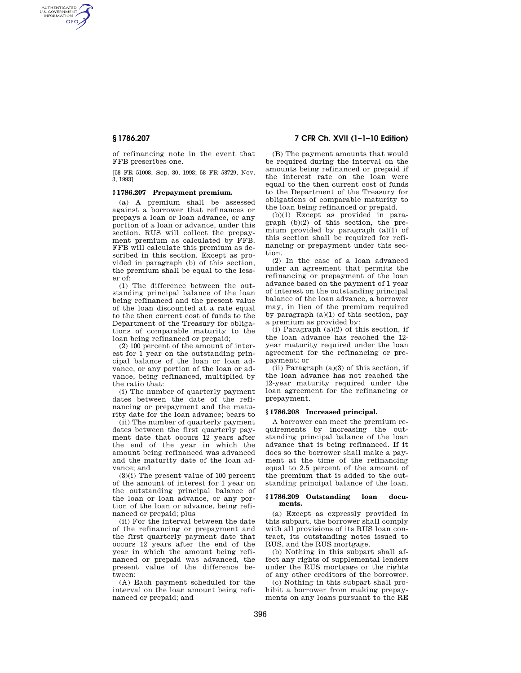AUTHENTICATED<br>U.S. GOVERNMENT<br>INFORMATION **GPO** 

> of refinancing note in the event that FFB prescribes one.

> [58 FR 51008, Sep. 30, 1993; 58 FR 58729, Nov. 3, 1993]

# **§ 1786.207 Prepayment premium.**

(a) A premium shall be assessed against a borrower that refinances or prepays a loan or loan advance, or any portion of a loan or advance, under this section. RUS will collect the prepayment premium as calculated by FFB. FFB will calculate this premium as described in this section. Except as provided in paragraph (b) of this section, the premium shall be equal to the lesser of:

(1) The difference between the outstanding principal balance of the loan being refinanced and the present value of the loan discounted at a rate equal to the then current cost of funds to the Department of the Treasury for obligations of comparable maturity to the loan being refinanced or prepaid;

(2) 100 percent of the amount of interest for 1 year on the outstanding principal balance of the loan or loan advance, or any portion of the loan or advance, being refinanced, multiplied by the ratio that:

(i) The number of quarterly payment dates between the date of the refinancing or prepayment and the maturity date for the loan advance; bears to

(ii) The number of quarterly payment dates between the first quarterly payment date that occurs 12 years after the end of the year in which the amount being refinanced was advanced and the maturity date of the loan advance; and

(3)(i) The present value of 100 percent of the amount of interest for 1 year on the outstanding principal balance of the loan or loan advance, or any portion of the loan or advance, being refinanced or prepaid; plus

(ii) For the interval between the date of the refinancing or prepayment and the first quarterly payment date that occurs 12 years after the end of the year in which the amount being refinanced or prepaid was advanced, the present value of the difference between:

(A) Each payment scheduled for the interval on the loan amount being refinanced or prepaid; and

# **§ 1786.207 7 CFR Ch. XVII (1–1–10 Edition)**

(B) The payment amounts that would be required during the interval on the amounts being refinanced or prepaid if the interest rate on the loan were equal to the then current cost of funds to the Department of the Treasury for obligations of comparable maturity to the loan being refinanced or prepaid.

(b)(1) Except as provided in paragraph  $(b)(2)$  of this section, the premium provided by paragraph (a)(1) of this section shall be required for refinancing or prepayment under this section.

(2) In the case of a loan advanced under an agreement that permits the refinancing or prepayment of the loan advance based on the payment of 1 year of interest on the outstanding principal balance of the loan advance, a borrower may, in lieu of the premium required by paragraph  $(a)(1)$  of this section, pay a premium as provided by:

(i) Paragraph (a)(2) of this section, if the loan advance has reached the 12 year maturity required under the loan agreement for the refinancing or prepayment; or

(ii) Paragraph  $(a)(3)$  of this section, if the loan advance has not reached the 12-year maturity required under the loan agreement for the refinancing or prepayment.

## **§ 1786.208 Increased principal.**

A borrower can meet the premium requirements by increasing the outstanding principal balance of the loan advance that is being refinanced. If it does so the borrower shall make a payment at the time of the refinancing equal to 2.5 percent of the amount of the premium that is added to the outstanding principal balance of the loan.

## **§ 1786.209 Outstanding loan documents.**

(a) Except as expressly provided in this subpart, the borrower shall comply with all provisions of its RUS loan contract, its outstanding notes issued to RUS, and the RUS mortgage.

(b) Nothing in this subpart shall affect any rights of supplemental lenders under the RUS mortgage or the rights of any other creditors of the borrower.

(c) Nothing in this subpart shall prohibit a borrower from making prepayments on any loans pursuant to the RE